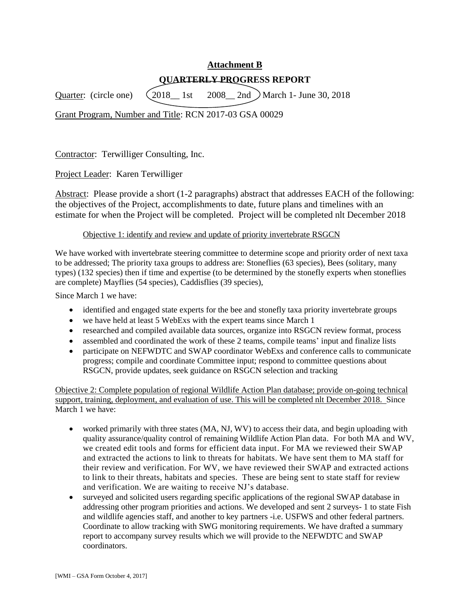# **Attachment B QUARTERLY PROGRESS REPORT**

Quarter: (circle one)  $\left(2018\_\_1\right)$  1st  $\left(2008\_\_2\right)$  2nd  $\left(2018\_\_1\right)$  March 1- June 30, 2018

Grant Program, Number and Title: RCN 2017-03 GSA 00029

Contractor: Terwilliger Consulting, Inc.

Project Leader: Karen Terwilliger

Abstract: Please provide a short (1-2 paragraphs) abstract that addresses EACH of the following: the objectives of the Project, accomplishments to date, future plans and timelines with an estimate for when the Project will be completed. Project will be completed nlt December 2018

### Objective 1: identify and review and update of priority invertebrate RSGCN

We have worked with invertebrate steering committee to determine scope and priority order of next taxa to be addressed; The priority taxa groups to address are: Stoneflies (63 species), Bees (solitary, many types) (132 species) then if time and expertise (to be determined by the stonefly experts when stoneflies are complete) Mayflies (54 species), Caddisflies (39 species),

Since March 1 we have:

- identified and engaged state experts for the bee and stonefly taxa priority invertebrate groups
- we have held at least 5 WebExs with the expert teams since March 1
- researched and compiled available data sources, organize into RSGCN review format, process
- assembled and coordinated the work of these 2 teams, compile teams' input and finalize lists
- participate on NEFWDTC and SWAP coordinator WebExs and conference calls to communicate progress; compile and coordinate Committee input; respond to committee questions about RSGCN, provide updates, seek guidance on RSGCN selection and tracking

Objective 2: Complete population of regional Wildlife Action Plan database; provide on-going technical support, training, deployment, and evaluation of use. This will be completed nlt December 2018. Since March 1 we have:

- worked primarily with three states (MA, NJ, WV) to access their data, and begin uploading with quality assurance/quality control of remaining Wildlife Action Plan data. For both MA and WV, we created edit tools and forms for efficient data input. For MA we reviewed their SWAP and extracted the actions to link to threats for habitats. We have sent them to MA staff for their review and verification. For WV, we have reviewed their SWAP and extracted actions to link to their threats, habitats and species. These are being sent to state staff for review and verification. We are waiting to receive NJ's database.
- surveyed and solicited users regarding specific applications of the regional SWAP database in addressing other program priorities and actions. We developed and sent 2 surveys- 1 to state Fish and wildlife agencies staff, and another to key partners -i.e. USFWS and other federal partners. Coordinate to allow tracking with SWG monitoring requirements. We have drafted a summary report to accompany survey results which we will provide to the NEFWDTC and SWAP coordinators.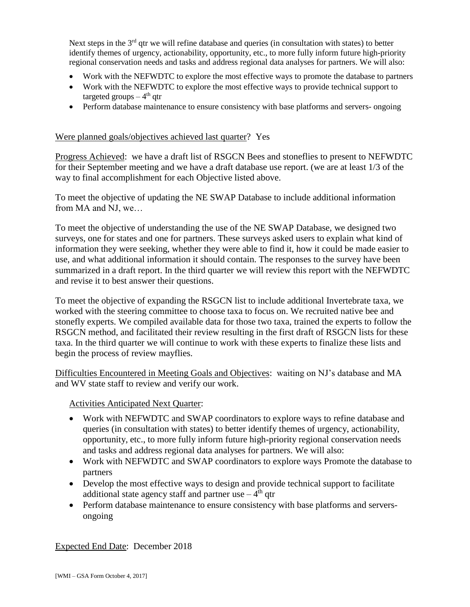Next steps in the 3<sup>rd</sup> qtr we will refine database and queries (in consultation with states) to better identify themes of urgency, actionability, opportunity, etc., to more fully inform future high-priority regional conservation needs and tasks and address regional data analyses for partners. We will also:

- Work with the NEFWDTC to explore the most effective ways to promote the database to partners
- Work with the NEFWDTC to explore the most effective ways to provide technical support to targeted groups – 4<sup>th</sup> qtr
- Perform database maintenance to ensure consistency with base platforms and servers- ongoing

#### Were planned goals/objectives achieved last quarter? Yes

Progress Achieved: we have a draft list of RSGCN Bees and stoneflies to present to NEFWDTC for their September meeting and we have a draft database use report. (we are at least 1/3 of the way to final accomplishment for each Objective listed above.

To meet the objective of updating the NE SWAP Database to include additional information from MA and NJ, we…

To meet the objective of understanding the use of the NE SWAP Database, we designed two surveys, one for states and one for partners. These surveys asked users to explain what kind of information they were seeking, whether they were able to find it, how it could be made easier to use, and what additional information it should contain. The responses to the survey have been summarized in a draft report. In the third quarter we will review this report with the NEFWDTC and revise it to best answer their questions.

To meet the objective of expanding the RSGCN list to include additional Invertebrate taxa, we worked with the steering committee to choose taxa to focus on. We recruited native bee and stonefly experts. We compiled available data for those two taxa, trained the experts to follow the RSGCN method, and facilitated their review resulting in the first draft of RSGCN lists for these taxa. In the third quarter we will continue to work with these experts to finalize these lists and begin the process of review mayflies.

Difficulties Encountered in Meeting Goals and Objectives: waiting on NJ's database and MA and WV state staff to review and verify our work.

Activities Anticipated Next Quarter:

- Work with NEFWDTC and SWAP coordinators to explore ways to refine database and queries (in consultation with states) to better identify themes of urgency, actionability, opportunity, etc., to more fully inform future high-priority regional conservation needs and tasks and address regional data analyses for partners. We will also:
- Work with NEFWDTC and SWAP coordinators to explore ways Promote the database to partners
- Develop the most effective ways to design and provide technical support to facilitate additional state agency staff and partner use  $-4<sup>th</sup>$  qtr
- Perform database maintenance to ensure consistency with base platforms and serversongoing

Expected End Date: December 2018